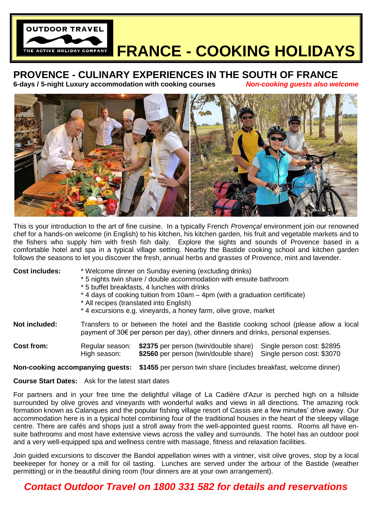

# **FRANCE - COOKING HOLIDAYS**

## **PROVENCE - CULINARY EXPERIENCES IN THE SOUTH OF FRANCE**

**6-days / 5-night Luxury accommodation with cooking courses** *Non-cooking guests also welcome*



This is your introduction to the art of fine cuisine. In a typically French *Provençal* environment join our renowned chef for a hands-on welcome (in English) to his kitchen, his kitchen garden, his fruit and vegetable markets and to the fishers who supply him with fresh fish daily. Explore the sights and sounds of Provence based in a comfortable hotel and spa in a typical village setting. Nearby the Bastide cooking school and kitchen garden follows the seasons to let you discover the fresh, annual herbs and grasses of Provence, mint and lavender.

| <b>Cost includes:</b>                                     | * Welcome dinner on Sunday evening (excluding drinks)<br>* 5 nights twin share / double accommodation with ensuite bathroom<br>* 5 buffet breakfasts, 4 lunches with drinks<br>*4 days of cooking tuition from 10am – 4pm (with a graduation certificate)<br>* All recipes (translated into English) |                                                                                |                                                          |
|-----------------------------------------------------------|------------------------------------------------------------------------------------------------------------------------------------------------------------------------------------------------------------------------------------------------------------------------------------------------------|--------------------------------------------------------------------------------|----------------------------------------------------------|
| <b>Not included:</b>                                      | *4 excursions e.g. vineyards, a honey farm, olive grove, market<br>Transfers to or between the hotel and the Bastide cooking school (please allow a local<br>payment of $30 \epsilon$ per person per day), other dinners and drinks, personal expenses.                                              |                                                                                |                                                          |
|                                                           |                                                                                                                                                                                                                                                                                                      |                                                                                |                                                          |
| <b>Cost from:</b>                                         | Regular season:<br>High season:                                                                                                                                                                                                                                                                      | \$2375 per person (twin/double share)<br>\$2560 per person (twin/double share) | Single person cost: \$2895<br>Single person cost: \$3070 |
| Non-cooking accompanying guests:                          |                                                                                                                                                                                                                                                                                                      | \$1455 per person twin share (includes breakfast, welcome dinner)              |                                                          |
| <b>Course Start Dates:</b> Ask for the latest start dates |                                                                                                                                                                                                                                                                                                      |                                                                                |                                                          |

For partners and in your free time the delightful village of La Cadière d'Azur is perched high on a hillside surrounded by olive groves and vinevards with wonderful walks and views in all directions. The amazing rock formation known as Calanques and the popular fishing village resort of Cassis are a few minutes' drive away. Our accommodation here is in a typical hotel combining four of the traditional houses in the heart of the sleepy village centre. There are cafés and shops just a stroll away from the well-appointed guest rooms. Rooms all have ensuite bathrooms and most have extensive views across the valley and surrounds. The hotel has an outdoor pool and a very well-equipped spa and wellness centre with massage, fitness and relaxation facilities.

Join guided excursions to discover the Bandol appellation wines with a vintner, visit olive groves, stop by a local beekeeper for honey or a mill for oil tasting. Lunches are served under the arbour of the Bastide (weather permitting) or in the beautiful dining room (four dinners are at your own arrangement).

### *Contact Outdoor Travel on 1800 331 582 for details and reservations*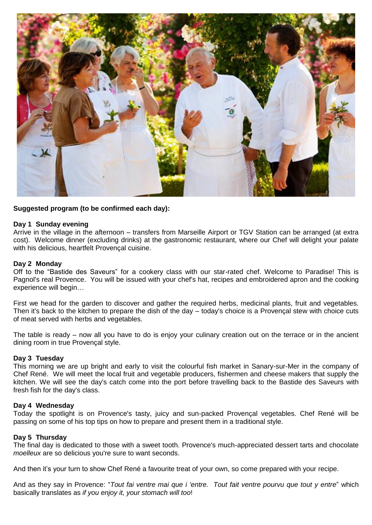

### **Suggested program (to be confirmed each day):**

#### **Day 1 Sunday evening**

Arrive in the village in the afternoon – transfers from Marseille Airport or TGV Station can be arranged (at extra cost). Welcome dinner (excluding drinks) at the gastronomic restaurant, where our Chef will delight your palate with his delicious, heartfelt Provençal cuisine.

#### **Day 2 Monday**

Off to the "Bastide des Saveurs" for a cookery class with our star-rated chef. Welcome to Paradise! This is Pagnol's real Provence. You will be issued with your chef's hat, recipes and embroidered apron and the cooking experience will begin…

First we head for the garden to discover and gather the required herbs, medicinal plants, fruit and vegetables. Then it's back to the kitchen to prepare the dish of the day – today's choice is a Provençal stew with choice cuts of meat served with herbs and vegetables.

The table is ready – now all you have to do is enjoy your culinary creation out on the terrace or in the ancient dining room in true Provençal style.

#### **Day 3 Tuesday**

This morning we are up bright and early to visit the colourful fish market in Sanary-sur-Mer in the company of Chef René. We will meet the local fruit and vegetable producers, fishermen and cheese makers that supply the kitchen. We will see the day's catch come into the port before travelling back to the Bastide des Saveurs with fresh fish for the day's class.

#### **Day 4 Wednesday**

Today the spotlight is on Provence's tasty, juicy and sun-packed Provençal vegetables. Chef René will be passing on some of his top tips on how to prepare and present them in a traditional style.

#### **Day 5 Thursday**

The final day is dedicated to those with a sweet tooth. Provence's much-appreciated dessert tarts and chocolate *moelleux* are so delicious you're sure to want seconds.

And then it's your turn to show Chef René a favourite treat of your own, so come prepared with your recipe.

And as they say in Provence: "*Tout fai ventre mai que i 'entre. Tout fait ventre pourvu que tout y entre*" which basically translates as *if you enjoy it, your stomach will too*!